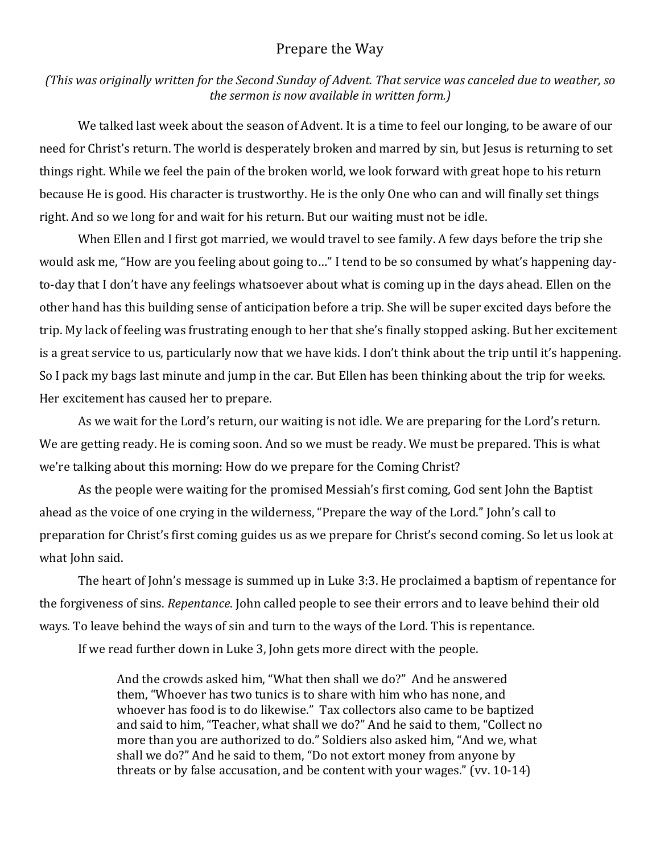## Prepare the Way

*(This* was originally written for the Second Sunday of Advent. That service was canceled due to weather, so *the sermon is now available in written form.)* 

We talked last week about the season of Advent. It is a time to feel our longing, to be aware of our need for Christ's return. The world is desperately broken and marred by sin, but Jesus is returning to set things right. While we feel the pain of the broken world, we look forward with great hope to his return because He is good. His character is trustworthy. He is the only One who can and will finally set things right. And so we long for and wait for his return. But our waiting must not be idle.

When Ellen and I first got married, we would travel to see family. A few days before the trip she would ask me, "How are you feeling about going to..." I tend to be so consumed by what's happening dayto-day that I don't have any feelings whatsoever about what is coming up in the days ahead. Ellen on the other hand has this building sense of anticipation before a trip. She will be super excited days before the trip. My lack of feeling was frustrating enough to her that she's finally stopped asking. But her excitement is a great service to us, particularly now that we have kids. I don't think about the trip until it's happening. So I pack my bags last minute and jump in the car. But Ellen has been thinking about the trip for weeks. Her excitement has caused her to prepare.

As we wait for the Lord's return, our waiting is not idle. We are preparing for the Lord's return. We are getting ready. He is coming soon. And so we must be ready. We must be prepared. This is what we're talking about this morning: How do we prepare for the Coming Christ?

As the people were waiting for the promised Messiah's first coming, God sent John the Baptist ahead as the voice of one crying in the wilderness, "Prepare the way of the Lord." John's call to preparation for Christ's first coming guides us as we prepare for Christ's second coming. So let us look at what John said.

The heart of John's message is summed up in Luke 3:3. He proclaimed a baptism of repentance for the forgiveness of sins. *Repentance*. John called people to see their errors and to leave behind their old ways. To leave behind the ways of sin and turn to the ways of the Lord. This is repentance.

If we read further down in Luke 3, John gets more direct with the people.

And the crowds asked him, "What then shall we do?" And he answered them, "Whoever has two tunics is to share with him who has none, and whoever has food is to do likewise." Tax collectors also came to be baptized and said to him, "Teacher, what shall we do?" And he said to them, "Collect no more than you are authorized to do." Soldiers also asked him, "And we, what shall we do?" And he said to them, "Do not extort money from anyone by threats or by false accusation, and be content with your wages." (vv.  $10-14$ )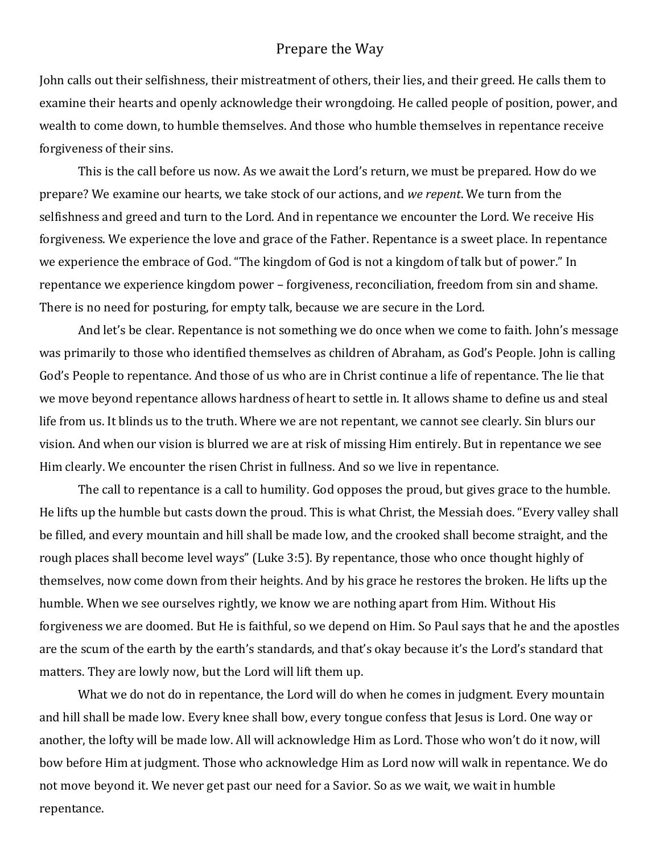## Prepare the Way

John calls out their selfishness, their mistreatment of others, their lies, and their greed. He calls them to examine their hearts and openly acknowledge their wrongdoing. He called people of position, power, and wealth to come down, to humble themselves. And those who humble themselves in repentance receive forgiveness of their sins.

This is the call before us now. As we await the Lord's return, we must be prepared. How do we prepare? We examine our hearts, we take stock of our actions, and *we repent*. We turn from the selfishness and greed and turn to the Lord. And in repentance we encounter the Lord. We receive His forgiveness. We experience the love and grace of the Father. Repentance is a sweet place. In repentance we experience the embrace of God. "The kingdom of God is not a kingdom of talk but of power." In repentance we experience kingdom power – forgiveness, reconciliation, freedom from sin and shame. There is no need for posturing, for empty talk, because we are secure in the Lord.

And let's be clear. Repentance is not something we do once when we come to faith. John's message was primarily to those who identified themselves as children of Abraham, as God's People. John is calling God's People to repentance. And those of us who are in Christ continue a life of repentance. The lie that we move beyond repentance allows hardness of heart to settle in. It allows shame to define us and steal life from us. It blinds us to the truth. Where we are not repentant, we cannot see clearly. Sin blurs our vision. And when our vision is blurred we are at risk of missing Him entirely. But in repentance we see Him clearly. We encounter the risen Christ in fullness. And so we live in repentance.

The call to repentance is a call to humility. God opposes the proud, but gives grace to the humble. He lifts up the humble but casts down the proud. This is what Christ, the Messiah does. "Every valley shall be filled, and every mountain and hill shall be made low, and the crooked shall become straight, and the rough places shall become level ways" (Luke 3:5). By repentance, those who once thought highly of themselves, now come down from their heights. And by his grace he restores the broken. He lifts up the humble. When we see ourselves rightly, we know we are nothing apart from Him. Without His forgiveness we are doomed. But He is faithful, so we depend on Him. So Paul says that he and the apostles are the scum of the earth by the earth's standards, and that's okay because it's the Lord's standard that matters. They are lowly now, but the Lord will lift them up.

What we do not do in repentance, the Lord will do when he comes in judgment. Every mountain and hill shall be made low. Every knee shall bow, every tongue confess that Jesus is Lord. One way or another, the lofty will be made low. All will acknowledge Him as Lord. Those who won't do it now, will bow before Him at judgment. Those who acknowledge Him as Lord now will walk in repentance. We do not move beyond it. We never get past our need for a Savior. So as we wait, we wait in humble repentance.